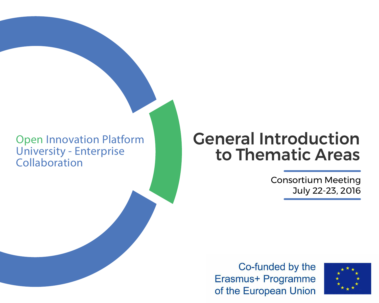#### Open Innovation Platform University - Enterprise Collaboration

## General Introduction to Thematic Areas

Erasmus+ Programme of the European Union

### Consortium Meeting July 22-23, 2016

# Co-funded by the

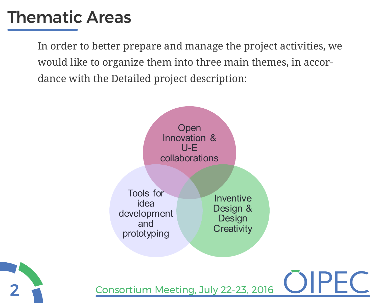2

## Thematic Areas

Consortium Meeting, July 22-23, 2016



**Open** Innovation & U-E collaborations

> Inventive Design & Design **Creativity**

In order to better prepare and manage the project activities, we would like to organize them into three main themes, in accordance with the Detailed project description:

> Tools for idea development and prototyping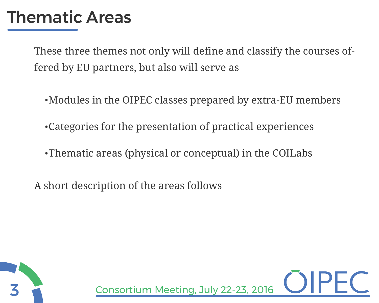## Thematic Areas

These three themes not only will define and classify the courses offered by EU partners, but also will serve as

- ·Modules in the OIPEC classes prepared by extra-EU members
- ·Categories for the presentation of practical experiences
- ·Thematic areas (physical or conceptual) in the COILabs
- A short description of the areas follows



Consortium Meeting, July 22-23, 2016

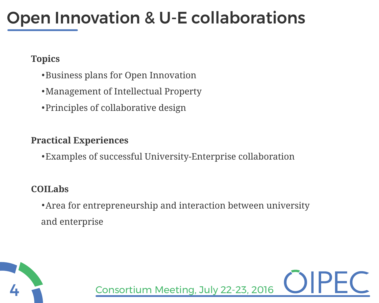## Open Innovation & U-E collaborations

### **Topics**

- ·Business plans for Open Innovation
- ·Management of Intellectual Property
- ·Principles of collaborative design

#### **Practical Experiences**

·Examples of successful University-Enterprise collaboration

### **COILabs**

·Area for entrepreneurship and interaction between university and enterprise

Consortium Meeting, July 22-23, 2016

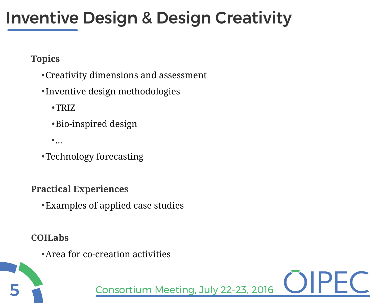5

## Inventive Design & Design Creativity

- ·Creativity dimensions and assessment
- ·Inventive design methodologies
	- ·TRIZ
	- ·Bio-inspired design
	- $\bullet$  ...

Consortium Meeting, July 22-23, 2016





**Topics**

·Technology forecasting

**Practical Experiences**

·Examples of applied case studies

**COILabs**

·Area for co-creation activities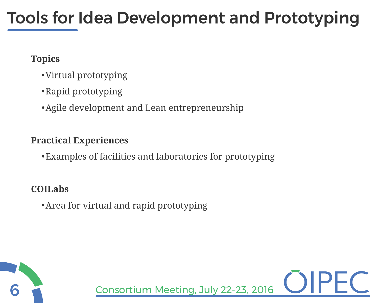

## Tools for Idea Development and Prototyping

Consortium Meeting, July 22-23, 2016



### **Topics**

- ·Virtual prototyping
- ·Rapid prototyping
- ·Agile development and Lean entrepreneurship

### **Practical Experiences**

·Examples of facilities and laboratories for prototyping

### **COILabs**

·Area for virtual and rapid prototyping